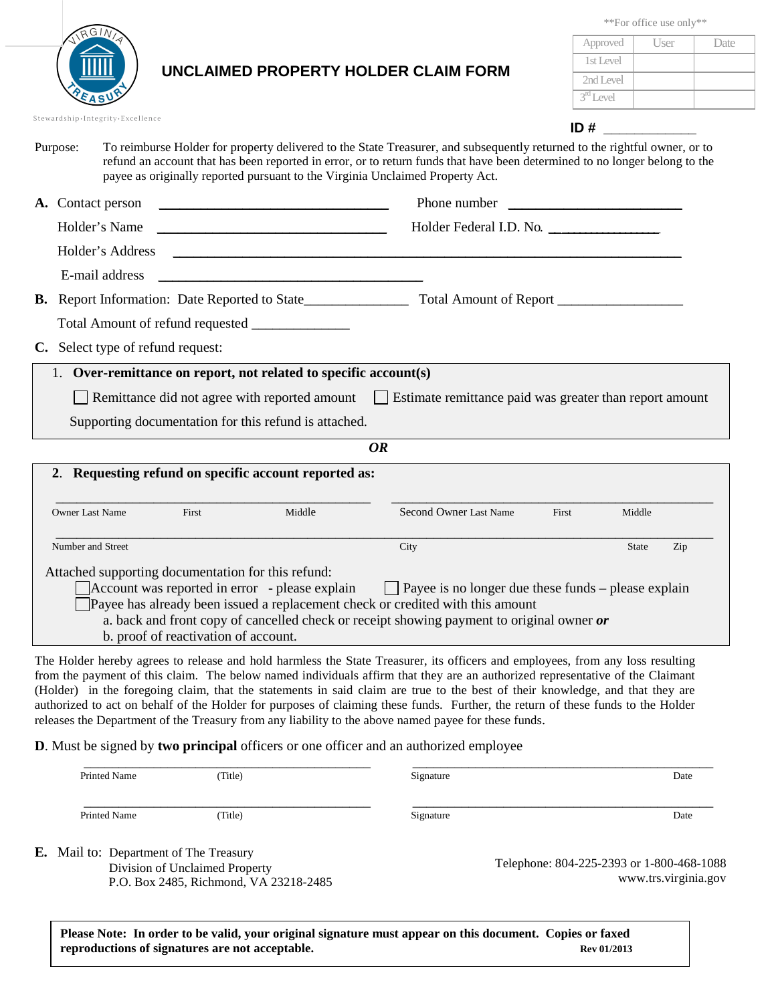**UNCLAIMED PROPERTY HOLDER CLAIM FORM**

Approved User Date 1st Level 2nd Level  $3<sup>rd</sup>$  Level

\*\*For office use only\*\*

|  | Stewardship·Integrity·Excellence |
|--|----------------------------------|

## **ID # \_\_\_\_\_\_\_\_\_\_\_\_**

| Purpose: | To reimburse Holder for property delivered to the State Treasurer, and subsequently returned to the rightful owner, or to<br>refund an account that has been reported in error, or to return funds that have been determined to no longer belong to the<br>payee as originally reported pursuant to the Virginia Unclaimed Property Act. |
|----------|------------------------------------------------------------------------------------------------------------------------------------------------------------------------------------------------------------------------------------------------------------------------------------------------------------------------------------------|
|          | A. Contact person<br>Phone number                                                                                                                                                                                                                                                                                                        |
|          | Holder's Name<br>Holder Federal I.D. No.                                                                                                                                                                                                                                                                                                 |
|          |                                                                                                                                                                                                                                                                                                                                          |
|          | E-mail address<br><u> 1980 - Johann Barn, margaret eta biztanleria (h. 1980).</u>                                                                                                                                                                                                                                                        |
|          |                                                                                                                                                                                                                                                                                                                                          |
|          |                                                                                                                                                                                                                                                                                                                                          |
|          | C. Select type of refund request:                                                                                                                                                                                                                                                                                                        |
|          | 1. Over-remittance on report, not related to specific account(s)                                                                                                                                                                                                                                                                         |
|          | Remittance did not agree with reported amount   Estimate remittance paid was greater than report amount                                                                                                                                                                                                                                  |
|          | Supporting documentation for this refund is attached.                                                                                                                                                                                                                                                                                    |

*OR* 

|                                                    |                                      | 2. Requesting refund on specific account reported as: |                                                                                           |       |              |     |
|----------------------------------------------------|--------------------------------------|-------------------------------------------------------|-------------------------------------------------------------------------------------------|-------|--------------|-----|
| <b>Owner Last Name</b>                             | <b>First</b>                         | Middle                                                | Second Owner Last Name                                                                    | First | Middle       |     |
| Number and Street                                  |                                      |                                                       | City                                                                                      |       | <b>State</b> | Zip |
| Attached supporting documentation for this refund: |                                      |                                                       |                                                                                           |       |              |     |
|                                                    |                                      | Account was reported in error - please explain        | $\Box$ Payee is no longer due these funds – please explain                                |       |              |     |
|                                                    |                                      |                                                       | Payee has already been issued a replacement check or credited with this amount            |       |              |     |
|                                                    |                                      |                                                       | a. back and front copy of cancelled check or receipt showing payment to original owner or |       |              |     |
|                                                    | b. proof of reactivation of account. |                                                       |                                                                                           |       |              |     |

The Holder hereby agrees to release and hold harmless the State Treasurer, its officers and employees, from any loss resulting from the payment of this claim. The below named individuals affirm that they are an authorized representative of the Claimant (Holder) in the foregoing claim, that the statements in said claim are true to the best of their knowledge, and that they are authorized to act on behalf of the Holder for purposes of claiming these funds. Further, the return of these funds to the Holder releases the Department of the Treasury from any liability to the above named payee for these funds.

**D**. Must be signed by **two principal** officers or one officer and an authorized employee

| <b>Printed Name</b>                           | (Title) | Signature | Date |
|-----------------------------------------------|---------|-----------|------|
| <b>Printed Name</b>                           | (Title) | Signature | Date |
| <b>E.</b> Mail to: Department of The Treasury |         |           |      |

 Division of Unclaimed Property P.O. Box 2485, Richmond, VA 23218-2485

Telephone: 804-225-2393 or 1-800-468-1088 www.trs.virginia.gov

**Please Note: In order to be valid, your original signature must appear on this document. Copies or faxed reproductions of signatures are not acceptable.** Rev 01/2013